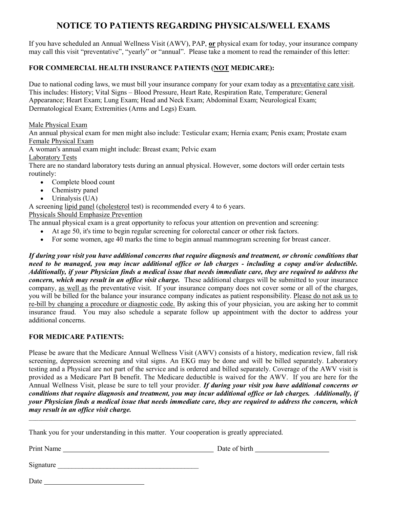# NOTICE TO PATIENTS REGARDING PHYSICALS/WELL EXAMS

If you have scheduled an Annual Wellness Visit (AWV), PAP, or physical exam for today, your insurance company may call this visit "preventative", "yearly" or "annual". Please take a moment to read the remainder of this letter:

## FOR COMMERCIAL HEALTH INSURANCE PATIENTS (NOT MEDICARE):

Due to national coding laws, we must bill your insurance company for your exam today as a preventative care visit. This includes: History; Vital Signs – Blood Pressure, Heart Rate, Respiration Rate, Temperature; General Appearance; Heart Exam; Lung Exam; Head and Neck Exam; Abdominal Exam; Neurological Exam; Dermatological Exam; Extremities (Arms and Legs) Exam.

Male Physical Exam

An annual physical exam for men might also include: Testicular exam; Hernia exam; Penis exam; Prostate exam Female Physical Exam

A woman's annual exam might include: Breast exam; Pelvic exam

Laboratory Tests

There are no standard laboratory tests during an annual physical. However, some doctors will order certain tests routinely:

- Complete blood count
- Chemistry panel
- $\bullet$  Urinalysis (UA)

A screening lipid panel (cholesterol test) is recommended every 4 to 6 years.

Physicals Should Emphasize Prevention

The annual physical exam is a great opportunity to refocus your attention on prevention and screening:

- At age 50, it's time to begin regular screening for colorectal cancer or other risk factors.
- For some women, age 40 marks the time to begin annual mammogram screening for breast cancer.

If during your visit you have additional concerns that require diagnosis and treatment, or chronic conditions that need to be managed, you may incur additional office or lab charges - including a copay and/or deductible. Additionally, if your Physician finds a medical issue that needs immediate care, they are required to address the concern, which may result in an office visit charge. These additional charges will be submitted to your insurance company, as well as the preventative visit. If your insurance company does not cover some or all of the charges, you will be billed for the balance your insurance company indicates as patient responsibility. Please do not ask us to re-bill by changing a procedure or diagnostic code. By asking this of your physician, you are asking her to commit insurance fraud. You may also schedule a separate follow up appointment with the doctor to address your additional concerns.

### FOR MEDICARE PATIENTS:

Please be aware that the Medicare Annual Wellness Visit (AWV) consists of a history, medication review, fall risk screening, depression screening and vital signs. An EKG may be done and will be billed separately. Laboratory testing and a Physical are not part of the service and is ordered and billed separately. Coverage of the AWV visit is provided as a Medicare Part B benefit. The Medicare deductible is waived for the AWV. If you are here for the Annual Wellness Visit, please be sure to tell your provider. If during your visit you have additional concerns or conditions that require diagnosis and treatment, you may incur additional office or lab charges. Additionally, if your Physician finds a medical issue that needs immediate care, they are required to address the concern, which may result in an office visit charge.

 $\mathcal{L}_\mathcal{L} = \mathcal{L}_\mathcal{L} = \mathcal{L}_\mathcal{L} = \mathcal{L}_\mathcal{L} = \mathcal{L}_\mathcal{L} = \mathcal{L}_\mathcal{L} = \mathcal{L}_\mathcal{L} = \mathcal{L}_\mathcal{L} = \mathcal{L}_\mathcal{L} = \mathcal{L}_\mathcal{L} = \mathcal{L}_\mathcal{L} = \mathcal{L}_\mathcal{L} = \mathcal{L}_\mathcal{L} = \mathcal{L}_\mathcal{L} = \mathcal{L}_\mathcal{L} = \mathcal{L}_\mathcal{L} = \mathcal{L}_\mathcal{L}$ 

Thank you for your understanding in this matter. Your cooperation is greatly appreciated.

Print Name Date of birth

 $Signature$ 

Date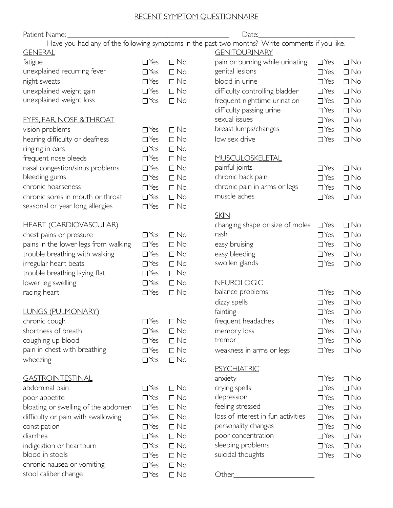## RECENT SYMPTOM QUESTIONNAIRE

| Patient Name:                        |            |           | Date:                                                                                          |            |           |
|--------------------------------------|------------|-----------|------------------------------------------------------------------------------------------------|------------|-----------|
|                                      |            |           | Have you had any of the following symptoms in the past two months? Write comments if you like. |            |           |
| <b>GENERAL</b>                       |            |           | <b>GENITOURINARY</b>                                                                           |            |           |
| fatigue                              | $\Box$ Yes | $\Box$ No | pain or burning while urinating                                                                | $\Box$ Yes | $\Box$ No |
| unexplained recurring fever          | $\Box$ Yes | $\Box$ No | genital lesions                                                                                | $\Box$ Yes | $\Box$ No |
| night sweats                         | $\Box$ Yes | $\Box$ No | blood in urine                                                                                 | $\Box$ Yes | $\Box$ No |
| unexplained weight gain              | $\Box$ Yes | $\Box$ No | difficulty controlling bladder                                                                 | $\Box$ Yes | $\Box$ No |
| unexplained weight loss              | $\Box$ Yes | $\Box$ No | frequent nighttime urination                                                                   | $\Box$ Yes | $\Box$ No |
|                                      |            |           | difficulty passing urine                                                                       | $\Box$ Yes | $\Box$ No |
| <b>EYES, EAR, NOSE &amp; THROAT</b>  |            |           | sexual issues                                                                                  | $\Box$ Yes | $\Box$ No |
| vision problems                      | $\Box$ Yes | $\Box$ No | breast lumps/changes                                                                           | $\Box$ Yes | $\Box$ No |
| hearing difficulty or deafness       | $\Box$ Yes | $\Box$ No | low sex drive                                                                                  | $\Box$ Yes | $\Box$ No |
| ringing in ears                      | $\Box$ Yes | $\Box$ No |                                                                                                |            |           |
| frequent nose bleeds                 | $\Box$ Yes | $\Box$ No | <b>MUSCULOSKELETAL</b>                                                                         |            |           |
| nasal congestion/sinus problems      | $\Box$ Yes | $\Box$ No | painful joints                                                                                 | $\Box$ Yes | $\Box$ No |
| bleeding gums                        | $\Box$ Yes | $\Box$ No | chronic back pain                                                                              | $\Box$ Yes | $\Box$ No |
| chronic hoarseness                   | $\Box$ Yes | $\Box$ No | chronic pain in arms or legs                                                                   | $\Box$ Yes | $\Box$ No |
| chronic sores in mouth or throat     | $\Box$ Yes | $\Box$ No | muscle aches                                                                                   | $\Box$ Yes | $\Box$ No |
| seasonal or year long allergies      | $\Box$ Yes | $\Box$ No |                                                                                                |            |           |
|                                      |            |           | <b>SKIN</b>                                                                                    |            |           |
| <b>HEART (CARDIOVASCULAR)</b>        |            |           | changing shape or size of moles                                                                | $\Box$ Yes | $\Box$ No |
| chest pains or pressure              | $\Box$ Yes | $\Box$ No | rash                                                                                           | $\Box$ Yes | $\Box$ No |
| pains in the lower legs from walking | $\Box$ Yes | $\Box$ No | easy bruising                                                                                  | $\Box$ Yes | $\Box$ No |
| trouble breathing with walking       | $\Box$ Yes | $\Box$ No | easy bleeding                                                                                  | $\Box$ Yes | $\Box$ No |
| irregular heart beats                | $\Box$ Yes | $\Box$ No | swollen glands                                                                                 | $\Box$ Yes | $\Box$ No |
| trouble breathing laying flat        | $\Box$ Yes | $\Box$ No |                                                                                                |            |           |
| lower leg swelling                   | $\Box$ Yes | $\Box$ No | <b>NEUROLOGIC</b>                                                                              |            |           |
| racing heart                         | $\Box$ Yes | $\Box$ No | balance problems                                                                               | $\Box$ Yes | $\Box$ No |
|                                      |            |           | dizzy spells                                                                                   | $\Box$ Yes | $\Box$ No |
| <b>LUNGS (PULMONARY)</b>             |            |           | fainting                                                                                       | $\Box$ Yes | $\Box$ No |
| chronic cough                        | $\Box$ Yes | $\Box$ No | frequent headaches                                                                             | $\Box$ Yes | $\Box$ No |
| shortness of breath                  | $\Box$ Yes | $\Box$ No | memory loss                                                                                    | $\Box$ Yes | $\Box$ No |
| coughing up blood                    | $\Box$ Yes | $\Box$ No | tremor                                                                                         | $\Box$ Yes | $\Box$ No |
| pain in chest with breathing         | $\Box$ Yes | $\Box$ No | weakness in arms or legs                                                                       | $\Box$ Yes | $\Box$ No |
| wheezing                             | $\Box$ Yes | $\Box$ No |                                                                                                |            |           |
|                                      |            |           | <b>PSYCHIATRIC</b>                                                                             |            |           |
| <b>GASTROINTESTINAL</b>              |            |           | anxiety                                                                                        | $\Box$ Yes | $\Box$ No |
| abdominal pain                       | $\Box$ Yes | $\Box$ No | crying spells                                                                                  | $\Box$ Yes | $\Box$ No |
| poor appetite                        | $\Box$ Yes | $\Box$ No | depression                                                                                     | $\Box$ Yes | $\Box$ No |
| bloating or swelling of the abdomen  | $\Box$ Yes | $\Box$ No | feeling stressed                                                                               | $\Box$ Yes | $\Box$ No |
| difficulty or pain with swallowing   | $\Box$ Yes | $\Box$ No | loss of interest in fun activities                                                             | $\Box$ Yes | $\Box$ No |
| constipation                         | $\Box$ Yes | $\Box$ No | personality changes                                                                            | $\Box$ Yes | $\Box$ No |
| diarrhea                             | $\Box$ Yes | $\Box$ No | poor concentration                                                                             | $\Box$ Yes | $\Box$ No |
| indigestion or heartburn             | $\Box$ Yes | $\Box$ No | sleeping problems                                                                              | $\Box$ Yes | $\Box$ No |
| blood in stools                      | $\Box$ Yes | $\Box$ No | suicidal thoughts                                                                              | $\Box$ Yes | $\Box$ No |
| chronic nausea or vomiting           | $\Box$ Yes | $\Box$ No |                                                                                                |            |           |
| stool caliber change                 | $\Box$ Yes | $\Box$ No | Other_                                                                                         |            |           |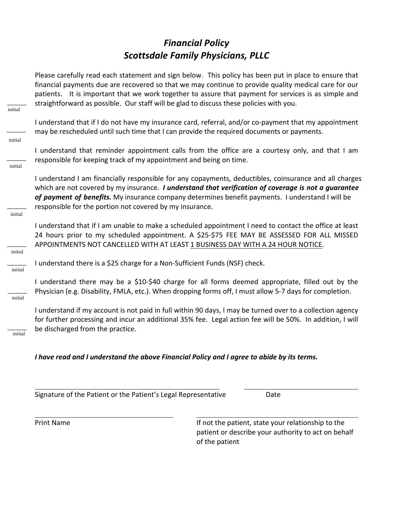# *Financial Policy* **Scottsdale Family Physicians, PLLC**

Please carefully read each statement and sign below. This policy has been put in place to ensure that financial payments due are recovered so that we may continue to provide quality medical care for our patients. It is important that we work together to assure that payment for services is as simple and straightforward as possible. Our staff will be glad to discuss these policies with you.

I understand that if I do not have my insurance card, referral, and/or co-payment that my appointment may be rescheduled until such time that I can provide the required documents or payments.

I understand that reminder appointment calls from the office are a courtesy only, and that I am responsible for keeping track of my appointment and being on time.

I understand I am financially responsible for any copayments, deductibles, coinsurance and all charges which are not covered by my insurance. *I understand that verification of coverage is not a guarantee* of payment of benefits. My insurance company determines benefit payments. I understand I will be responsible for the portion not covered by my insurance.

I understand that if I am unable to make a scheduled appointment I need to contact the office at least 24 hours prior to my scheduled appointment. A \$25-\$75 FEE MAY BE ASSESSED FOR ALL MISSED APPOINTMENTS NOT CANCELLED WITH AT LEAST 1 BUSINESS DAY WITH A 24 HOUR NOTICE.

I understand there is a \$25 charge for a Non-Sufficient Funds (NSF) check.

I understand there may be a \$10-\$40 charge for all forms deemed appropriate, filled out by the Physician (e.g. Disability, FMLA, etc.). When dropping forms off, I must allow 5-7 days for completion.

I understand if my account is not paid in full within 90 days, I may be turned over to a collection agency for further processing and incur an additional 35% fee. Legal action fee will be 50%. In addition, I will be discharged from the practice.

*I* have read and *I* understand the above Financial Policy and *I* agree to abide by its terms.

Signature of the Patient or the Patient's Legal Representative Date

Print Name **If not the patient, state your relationship to the** patient or describe your authority to act on behalf of the patient

 $\overline{\phantom{a}}$ initial

 $\overline{\phantom{a}}$ 

initial

 $\overline{\phantom{a}}$ 

initial

 $\overline{\phantom{a}}$ 

initial

 $\overline{\phantom{a}}$ 

initial

 $\overline{\phantom{a}}$ 

initial

 $\overline{\phantom{a}}$ 

initial

 $\overline{\phantom{a}}$ 

initial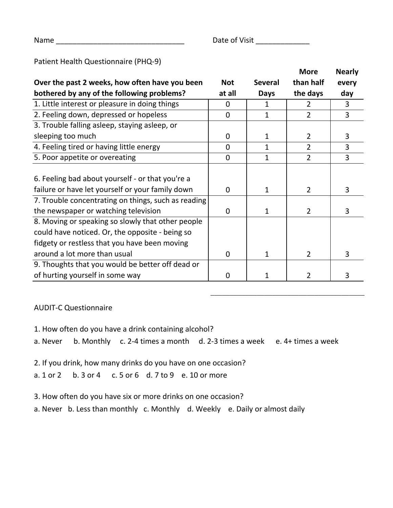\_\_\_\_\_\_\_\_\_\_\_\_\_\_\_\_\_\_\_\_\_\_\_\_\_\_\_\_\_\_\_\_\_\_\_\_\_\_\_\_

Name \_\_\_\_\_\_\_\_\_\_\_\_\_\_\_\_\_\_\_\_\_\_\_\_\_\_\_\_\_\_\_ Date of Visit \_\_\_\_\_\_\_\_\_\_\_\_\_

# Patient Health Questionnaire (PHQ-9)

|                                                     |            |                | <b>More</b>    | <b>Nearly</b> |
|-----------------------------------------------------|------------|----------------|----------------|---------------|
| Over the past 2 weeks, how often have you been      | <b>Not</b> | <b>Several</b> | than half      | every         |
| bothered by any of the following problems?          | at all     | <b>Days</b>    | the days       | day           |
| 1. Little interest or pleasure in doing things      | 0          | $\mathbf{1}$   | $\overline{2}$ | 3             |
| 2. Feeling down, depressed or hopeless              | 0          | 1              | $\overline{2}$ | 3             |
| 3. Trouble falling asleep, staying asleep, or       |            |                |                |               |
| sleeping too much                                   | 0          | $\mathbf{1}$   | $\overline{2}$ | 3             |
| 4. Feeling tired or having little energy            | 0          | $\mathbf{1}$   | 2              | 3             |
| 5. Poor appetite or overeating                      | 0          | $\mathbf{1}$   | $\overline{2}$ | 3             |
|                                                     |            |                |                |               |
| 6. Feeling bad about yourself - or that you're a    |            |                |                |               |
| failure or have let yourself or your family down    | 0          | $\mathbf{1}$   | $\overline{2}$ | 3             |
| 7. Trouble concentrating on things, such as reading |            |                |                |               |
| the newspaper or watching television                | 0          | $\mathbf{1}$   | $\overline{2}$ | 3             |
| 8. Moving or speaking so slowly that other people   |            |                |                |               |
| could have noticed. Or, the opposite - being so     |            |                |                |               |
| fidgety or restless that you have been moving       |            |                |                |               |
| around a lot more than usual                        | 0          | $\mathbf{1}$   | $\overline{2}$ | 3             |
| 9. Thoughts that you would be better off dead or    |            |                |                |               |
| of hurting yourself in some way                     | 0          |                | 2              | 3             |

AUDIT-C Questionnaire

- 1. How often do you have a drink containing alcohol?
- a. Never b. Monthly c. 2-4 times a month d. 2-3 times a week e. 4+ times a week
- 2. If you drink, how many drinks do you have on one occasion?
- a. 1 or 2 b. 3 or 4 c. 5 or 6 d. 7 to 9 e. 10 or more
- 3. How often do you have six or more drinks on one occasion?
- a. Never b. Less than monthly c. Monthly d. Weekly e. Daily or almost daily